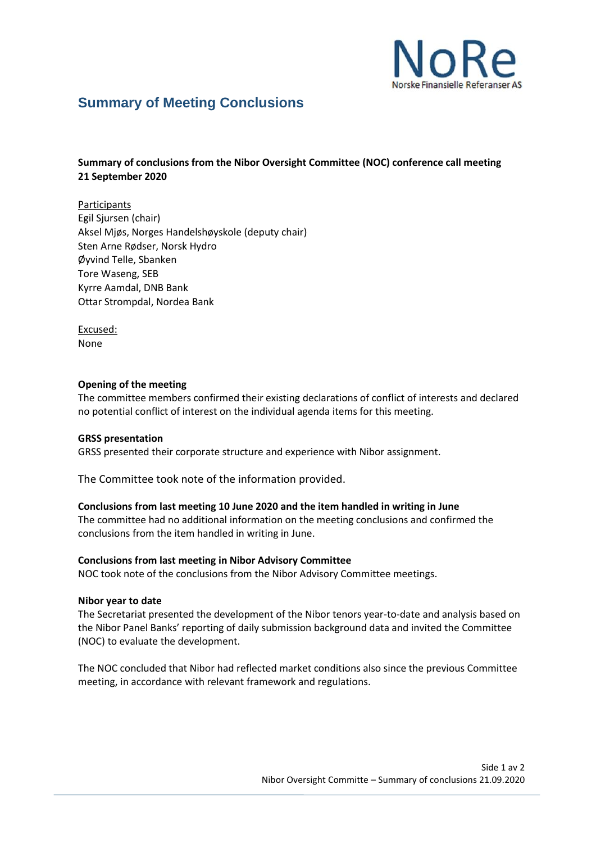

# **Summary of Meeting Conclusions**

# **Summary of conclusions from the Nibor Oversight Committee (NOC) conference call meeting 21 September 2020**

Participants Egil Sjursen (chair) Aksel Mjøs, Norges Handelshøyskole (deputy chair) Sten Arne Rødser, Norsk Hydro Øyvind Telle, Sbanken Tore Waseng, SEB Kyrre Aamdal, DNB Bank Ottar Strompdal, Nordea Bank

Excused: None

## **Opening of the meeting**

The committee members confirmed their existing declarations of conflict of interests and declared no potential conflict of interest on the individual agenda items for this meeting.

## **GRSS presentation**

GRSS presented their corporate structure and experience with Nibor assignment.

The Committee took note of the information provided.

## **Conclusions from last meeting 10 June 2020 and the item handled in writing in June**

The committee had no additional information on the meeting conclusions and confirmed the conclusions from the item handled in writing in June.

#### **Conclusions from last meeting in Nibor Advisory Committee**

NOC took note of the conclusions from the Nibor Advisory Committee meetings.

## **Nibor year to date**

The Secretariat presented the development of the Nibor tenors year-to-date and analysis based on the Nibor Panel Banks' reporting of daily submission background data and invited the Committee (NOC) to evaluate the development.

The NOC concluded that Nibor had reflected market conditions also since the previous Committee meeting, in accordance with relevant framework and regulations.